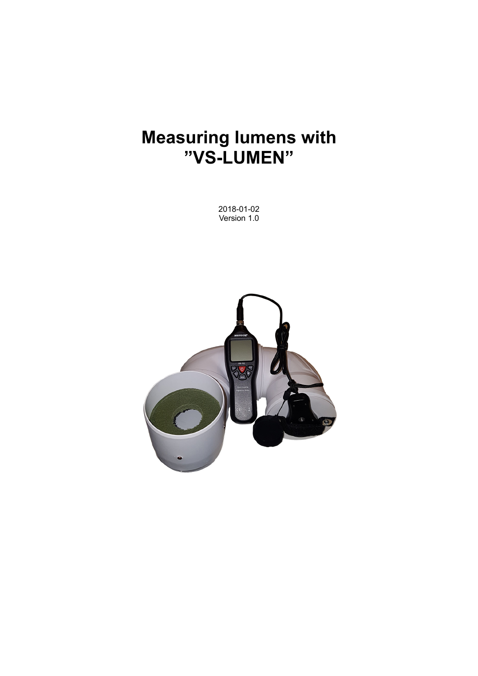# **Measuring lumens with "VS-LUMEN"**

2018-01-02 Version 1.0

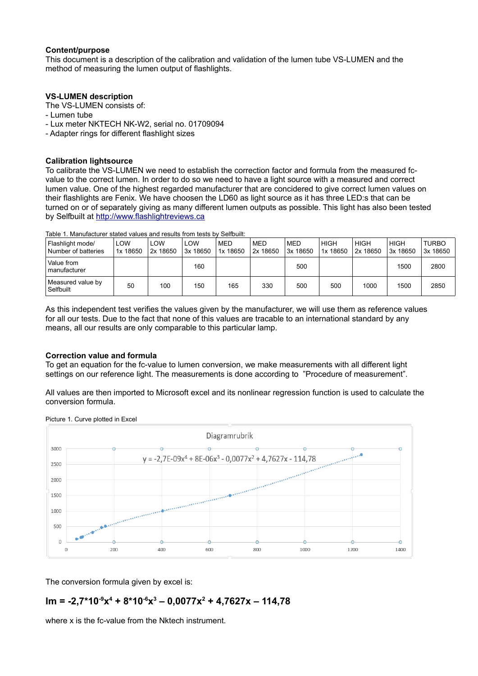#### **Content/purpose**

This document is a description of the calibration and validation of the lumen tube VS-LUMEN and the method of measuring the lumen output of flashlights.

#### **VS-LUMEN description**

The VS-LUMEN consists of:

- Lumen tube
- Lux meter NKTECH NK-W2, serial no. 01709094
- Adapter rings for different flashlight sizes

#### **Calibration lightsource**

To calibrate the VS-LUMEN we need to establish the correction factor and formula from the measured fcvalue to the correct lumen. In order to do so we need to have a light source with a measured and correct lumen value. One of the highest regarded manufacturer that are concidered to give correct lumen values on their flashlights are Fenix. We have choosen the LD60 as light source as it has three LED:s that can be turned on or of separately giving as many different lumen outputs as possible. This light has also been tested by Selfbuilt at [http://www.flashlightreviews.ca](http://www.flashlightreviews.ca/)

| Flashlight mode/<br>Number of batteries | LOW<br>1x 18650 | LOW<br>2x 18650 | LOW<br>3x 18650 | <b>MED</b><br>1x 18650 | MED<br>2x 18650 | MED<br>3x 18650 | <b>HIGH</b><br>1x 18650 | <b>HIGH</b><br>2x 18650 | <b>HIGH</b><br>3x 18650 | <b>TURBO</b><br>3x 18650 |
|-----------------------------------------|-----------------|-----------------|-----------------|------------------------|-----------------|-----------------|-------------------------|-------------------------|-------------------------|--------------------------|
| Value from<br>manufacturer              |                 |                 | 160             |                        |                 | 500             |                         |                         | 1500                    | 2800                     |
| Measured value by<br>Selfbuilt          | 50              | 100             | 150             | 165                    | 330             | 500             | 500                     | 1000                    | 1500                    | 2850                     |

Table 1. Manufacturer stated values and results from tests by Selfbuilt:

As this independent test verifies the values given by the manufacturer, we will use them as reference values for all our tests. Due to the fact that none of this values are tracable to an international standard by any means, all our results are only comparable to this particular lamp.

### **Correction value and formula**

To get an equation for the fc-value to lumen conversion, we make measurements with all different light settings on our reference light. The measurements is done according to "Procedure of measurement".

All values are then imported to Microsoft excel and its nonlinear regression function is used to calculate the conversion formula.



Picture 1. Curve plotted in Excel

The conversion formula given by excel is:

# **lm = -2,7\*10-9x 4 + 8\*10-6x 3 – 0,0077x<sup>2</sup> + 4,7627x – 114,78**

where x is the fc-value from the Nktech instrument.